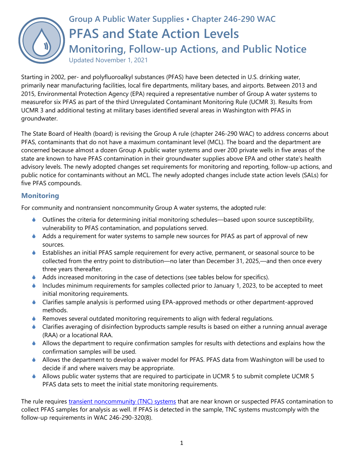

Starting in 2002, per- and polyfluoroalkyl substances (PFAS) have been detected in U.S. drinking water, primarily near manufacturing facilities, local fire departments, military bases, and airports. Between 2013 and 2015, Environmental Protection Agency (EPA) required a representative number of Group A water systems to measurefor six PFAS as part of the third Unregulated Contaminant Monitoring Rule (UCMR 3). Results from UCMR 3 and additional testing at military bases identified several areas in Washington with PFAS in groundwater.

The State Board of Health (board) is revising the Group A rule (chapter 246-290 WAC) to address concerns about PFAS, contaminants that do not have a maximum contaminant level (MCL). The board and the department are concerned because almost a dozen Group A public water systems and over 200 private wells in five areas of the state are known to have PFAS contamination in their groundwater supplies above EPA and other state's health advisory levels. The newly adopted changes set requirements for monitoring and reporting, follow-up actions, and public notice for contaminants without an MCL. The newly adopted changes include state action levels (SALs) for five PFAS compounds.

### **Monitoring**

For community and nontransient noncommunity Group A water systems, the adopted rule:

- Outlines the criteria for determining initial monitoring schedules—based upon source susceptibility, vulnerability to PFAS contamination, and populations served.
- Adds a requirement for water systems to sample new sources for PFAS as part of approval of new sources.
- Establishes an initial PFAS sample requirement for every active, permanent, or seasonal source to be collected from the entry point to distribution—no later than December 31, 2025,—and then once every three years thereafter.
- Adds increased monitoring in the case of detections (see tables below for specifics).
- Includes minimum requirements for samples collected prior to January 1, 2023, to be accepted to meet initial monitoring requirements.
- Clarifies sample analysis is performed using EPA-approved methods or other department-approved methods.
- $\bullet$  Removes several outdated monitoring requirements to align with federal regulations.
- Clarifies averaging of disinfection byproducts sample results is based on either a running annual average (RAA) or a locational RAA.
- Allows the department to require confirmation samples for results with detections and explains how the confirmation samples will be used.
- Allows the department to develop a waiver model for PFAS. PFAS data from Washington will be used to decide if and where waivers may be appropriate.
- Allows public water systems that are required to participate in UCMR 5 to submit complete UCMR 5 PFAS data sets to meet the initial state monitoring requirements.

The rule requires [transient noncommunity \(TNC\) systems](https://www.doh.wa.gov/CommunityandEnvironment/DrinkingWater/WaterSystemAssistance/TNCWaterSystems) that are near known or suspected PFAS contamination to collect PFAS samples for analysis as well. If PFAS is detected in the sample, TNC systems mustcomply with the follow-up requirements in WAC 246-290-320(8).